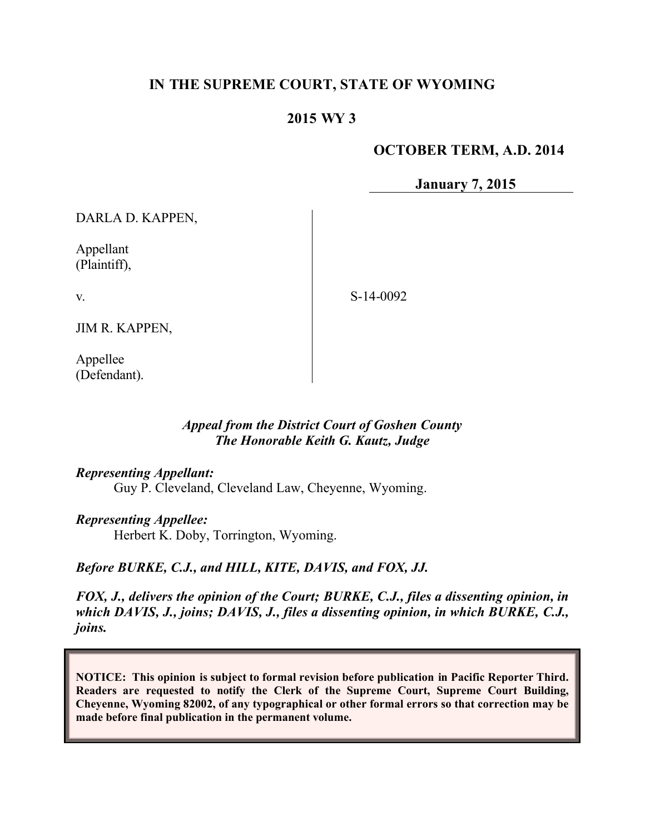# **IN THE SUPREME COURT, STATE OF WYOMING**

## **2015 WY 3**

## **OCTOBER TERM, A.D. 2014**

**January 7, 2015**

DARLA D. KAPPEN,

Appellant (Plaintiff),

v.

S-14-0092

JIM R. KAPPEN,

Appellee (Defendant).

## *Appeal from the District Court of Goshen County The Honorable Keith G. Kautz, Judge*

*Representing Appellant:*

Guy P. Cleveland, Cleveland Law, Cheyenne, Wyoming.

*Representing Appellee:*

Herbert K. Doby, Torrington, Wyoming.

*Before BURKE, C.J., and HILL, KITE, DAVIS, and FOX, JJ.*

*FOX, J., delivers the opinion of the Court; BURKE, C.J., files a dissenting opinion, in which DAVIS, J., joins; DAVIS, J., files a dissenting opinion, in which BURKE, C.J., joins.*

**NOTICE: This opinion is subject to formal revision before publication in Pacific Reporter Third. Readers are requested to notify the Clerk of the Supreme Court, Supreme Court Building, Cheyenne, Wyoming 82002, of any typographical or other formal errors so that correction may be made before final publication in the permanent volume.**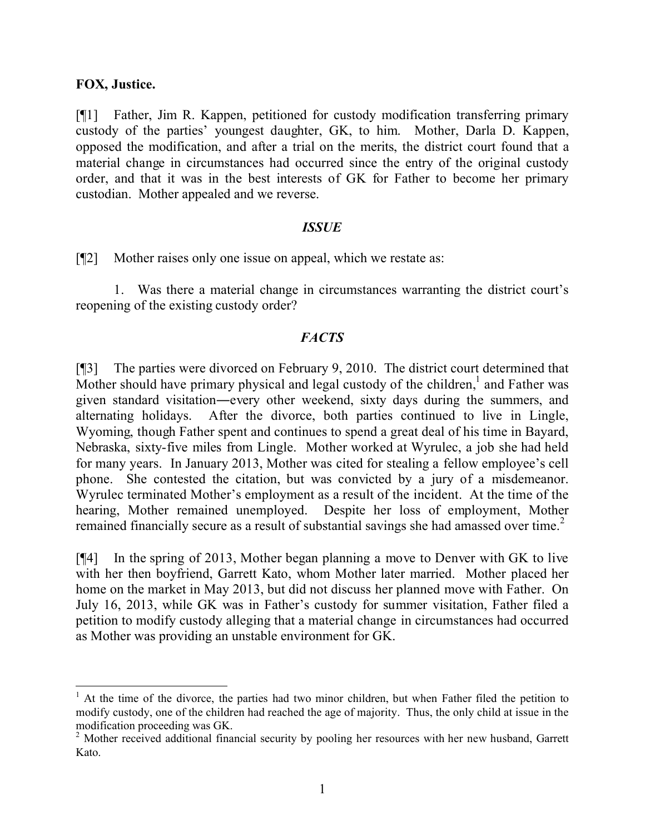#### **FOX, Justice.**

[¶1] Father, Jim R. Kappen, petitioned for custody modification transferring primary custody of the parties' youngest daughter, GK, to him. Mother, Darla D. Kappen, opposed the modification, and after a trial on the merits, the district court found that a material change in circumstances had occurred since the entry of the original custody order, and that it was in the best interests of GK for Father to become her primary custodian. Mother appealed and we reverse.

#### *ISSUE*

[¶2] Mother raises only one issue on appeal, which we restate as:

1. Was there a material change in circumstances warranting the district court's reopening of the existing custody order?

### *FACTS*

[¶3] The parties were divorced on February 9, 2010. The district court determined that Mother should have primary physical and legal custody of the children, and Father was given standard visitation―every other weekend, sixty days during the summers, and alternating holidays. After the divorce, both parties continued to live in Lingle, Wyoming, though Father spent and continues to spend a great deal of his time in Bayard, Nebraska, sixty-five miles from Lingle. Mother worked at Wyrulec, a job she had held for many years. In January 2013, Mother was cited for stealing a fellow employee's cell phone. She contested the citation, but was convicted by a jury of a misdemeanor. Wyrulec terminated Mother's employment as a result of the incident. At the time of the hearing, Mother remained unemployed. Despite her loss of employment, Mother remained financially secure as a result of substantial savings she had amassed over time.<sup>2</sup>

[¶4] In the spring of 2013, Mother began planning a move to Denver with GK to live with her then boyfriend, Garrett Kato, whom Mother later married. Mother placed her home on the market in May 2013, but did not discuss her planned move with Father. On July 16, 2013, while GK was in Father's custody for summer visitation, Father filed a petition to modify custody alleging that a material change in circumstances had occurred as Mother was providing an unstable environment for GK.

 $<sup>1</sup>$  At the time of the divorce, the parties had two minor children, but when Father filed the petition to</sup> modify custody, one of the children had reached the age of majority. Thus, the only child at issue in the modification proceeding was GK.

<sup>&</sup>lt;sup>2</sup> Mother received additional financial security by pooling her resources with her new husband, Garrett Kato.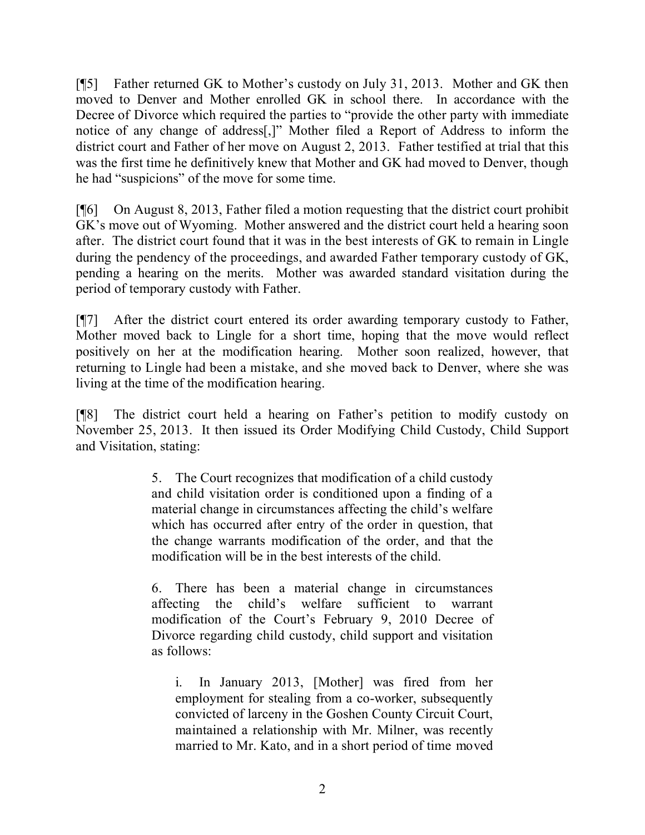[¶5] Father returned GK to Mother's custody on July 31, 2013. Mother and GK then moved to Denver and Mother enrolled GK in school there. In accordance with the Decree of Divorce which required the parties to "provide the other party with immediate notice of any change of address[,]" Mother filed a Report of Address to inform the district court and Father of her move on August 2, 2013. Father testified at trial that this was the first time he definitively knew that Mother and GK had moved to Denver, though he had "suspicions" of the move for some time.

[¶6] On August 8, 2013, Father filed a motion requesting that the district court prohibit GK's move out of Wyoming. Mother answered and the district court held a hearing soon after. The district court found that it was in the best interests of GK to remain in Lingle during the pendency of the proceedings, and awarded Father temporary custody of GK, pending a hearing on the merits. Mother was awarded standard visitation during the period of temporary custody with Father.

[¶7] After the district court entered its order awarding temporary custody to Father, Mother moved back to Lingle for a short time, hoping that the move would reflect positively on her at the modification hearing. Mother soon realized, however, that returning to Lingle had been a mistake, and she moved back to Denver, where she was living at the time of the modification hearing.

[¶8] The district court held a hearing on Father's petition to modify custody on November 25, 2013. It then issued its Order Modifying Child Custody, Child Support and Visitation, stating:

> 5. The Court recognizes that modification of a child custody and child visitation order is conditioned upon a finding of a material change in circumstances affecting the child's welfare which has occurred after entry of the order in question, that the change warrants modification of the order, and that the modification will be in the best interests of the child.

> 6. There has been a material change in circumstances affecting the child's welfare sufficient to warrant modification of the Court's February 9, 2010 Decree of Divorce regarding child custody, child support and visitation as follows:

i. In January 2013, [Mother] was fired from her employment for stealing from a co-worker, subsequently convicted of larceny in the Goshen County Circuit Court, maintained a relationship with Mr. Milner, was recently married to Mr. Kato, and in a short period of time moved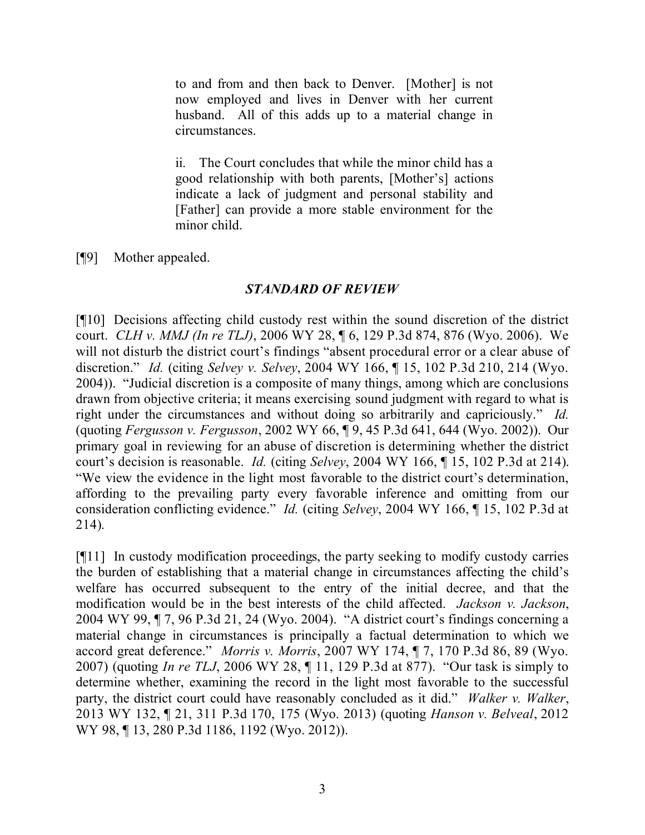to and from and then back to Denver. [Mother] is not now employed and lives in Denver with her current husband. All of this adds up to a material change in circumstances.

ii. The Court concludes that while the minor child has a good relationship with both parents, [Mother's] actions indicate a lack of judgment and personal stability and [Father] can provide a more stable environment for the minor child.

[¶9] Mother appealed.

### *STANDARD OF REVIEW*

[¶10] Decisions affecting child custody rest within the sound discretion of the district court. *CLH v. MMJ (In re TLJ)*, 2006 WY 28, ¶ 6, 129 P.3d 874, 876 (Wyo. 2006). We will not disturb the district court's findings "absent procedural error or a clear abuse of discretion." *Id.* (citing *Selvey v. Selvey*, 2004 WY 166, ¶ 15, 102 P.3d 210, 214 (Wyo. 2004)). "Judicial discretion is a composite of many things, among which are conclusions drawn from objective criteria; it means exercising sound judgment with regard to what is right under the circumstances and without doing so arbitrarily and capriciously." *Id.* (quoting *Fergusson v. Fergusson*, 2002 WY 66, ¶ 9, 45 P.3d 641, 644 (Wyo. 2002)). Our primary goal in reviewing for an abuse of discretion is determining whether the district court's decision is reasonable. *Id.* (citing *Selvey*, 2004 WY 166, ¶ 15, 102 P.3d at 214). "We view the evidence in the light most favorable to the district court's determination, affording to the prevailing party every favorable inference and omitting from our consideration conflicting evidence." *Id.* (citing *Selvey*, 2004 WY 166, ¶ 15, 102 P.3d at 214).

[¶11] In custody modification proceedings, the party seeking to modify custody carries the burden of establishing that a material change in circumstances affecting the child's welfare has occurred subsequent to the entry of the initial decree, and that the modification would be in the best interests of the child affected. *Jackson v. Jackson*, 2004 WY 99, ¶ 7, 96 P.3d 21, 24 (Wyo. 2004). "A district court's findings concerning a material change in circumstances is principally a factual determination to which we accord great deference." *Morris v. Morris*, 2007 WY 174, ¶ 7, 170 P.3d 86, 89 (Wyo. 2007) (quoting *In re TLJ*, 2006 WY 28, ¶ 11, 129 P.3d at 877). "Our task is simply to determine whether, examining the record in the light most favorable to the successful party, the district court could have reasonably concluded as it did." *Walker v. Walker*, 2013 WY 132, ¶ 21, 311 P.3d 170, 175 (Wyo. 2013) (quoting *Hanson v. Belveal*, 2012 WY 98, ¶ 13, 280 P.3d 1186, 1192 (Wyo. 2012)).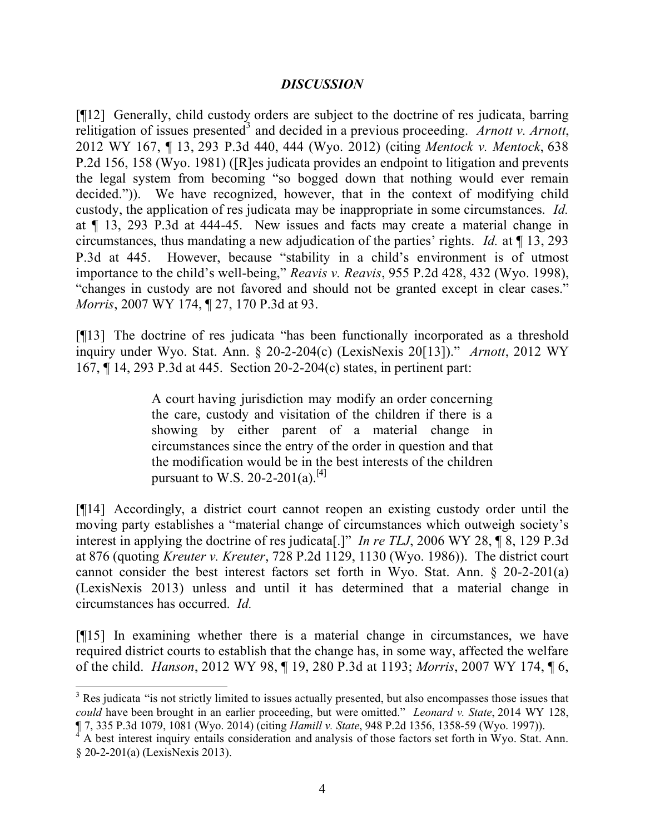### *DISCUSSION*

[¶12] Generally, child custody orders are subject to the doctrine of res judicata, barring relitigation of issues presented<sup>3</sup> and decided in a previous proceeding. Arnott v. Arnott, 2012 WY 167, ¶ 13, 293 P.3d 440, 444 (Wyo. 2012) (citing *Mentock v. Mentock*, 638 P.2d 156, 158 (Wyo. 1981) ([R]es judicata provides an endpoint to litigation and prevents the legal system from becoming "so bogged down that nothing would ever remain decided.")). We have recognized, however, that in the context of modifying child custody, the application of res judicata may be inappropriate in some circumstances. *Id.* at ¶ 13, 293 P.3d at 444-45. New issues and facts may create a material change in circumstances, thus mandating a new adjudication of the parties' rights. *Id.* at ¶ 13, 293 P.3d at 445. However, because "stability in a child's environment is of utmost importance to the child's well-being," *Reavis v. Reavis*, 955 P.2d 428, 432 (Wyo. 1998), "changes in custody are not favored and should not be granted except in clear cases." *Morris*, 2007 WY 174, ¶ 27, 170 P.3d at 93.

[¶13] The doctrine of res judicata "has been functionally incorporated as a threshold inquiry under Wyo. Stat. Ann. § 20-2-204(c) (LexisNexis 20[13])." *Arnott*, 2012 WY 167, ¶ 14, 293 P.3d at 445. Section 20-2-204(c) states, in pertinent part:

> A court having jurisdiction may modify an order concerning the care, custody and visitation of the children if there is a showing by either parent of a material change in circumstances since the entry of the order in question and that the modification would be in the best interests of the children pursuant to W.S. 20-2-201(a).<sup>[4]</sup>

[¶14] Accordingly, a district court cannot reopen an existing custody order until the moving party establishes a "material change of circumstances which outweigh society's interest in applying the doctrine of res judicata[.]" *In re TLJ*, 2006 WY 28, ¶ 8, 129 P.3d at 876 (quoting *Kreuter v. Kreuter*, 728 P.2d 1129, 1130 (Wyo. 1986)). The district court cannot consider the best interest factors set forth in Wyo. Stat. Ann. § 20-2-201(a) (LexisNexis 2013) unless and until it has determined that a material change in circumstances has occurred. *Id.*

[¶15] In examining whether there is a material change in circumstances, we have required district courts to establish that the change has, in some way, affected the welfare of the child. *Hanson*, 2012 WY 98, ¶ 19, 280 P.3d at 1193; *Morris*, 2007 WY 174, ¶ 6,

 $3$  Res judicata "is not strictly limited to issues actually presented, but also encompasses those issues that *could* have been brought in an earlier proceeding, but were omitted." *Leonard v. State*, 2014 WY 128, ¶ 7, 335 P.3d 1079, 1081 (Wyo. 2014) (citing *Hamill v. State*, 948 P.2d 1356, 1358-59 (Wyo. 1997)).

<sup>4</sup> A best interest inquiry entails consideration and analysis of those factors set forth in Wyo. Stat. Ann. § 20-2-201(a) (LexisNexis 2013).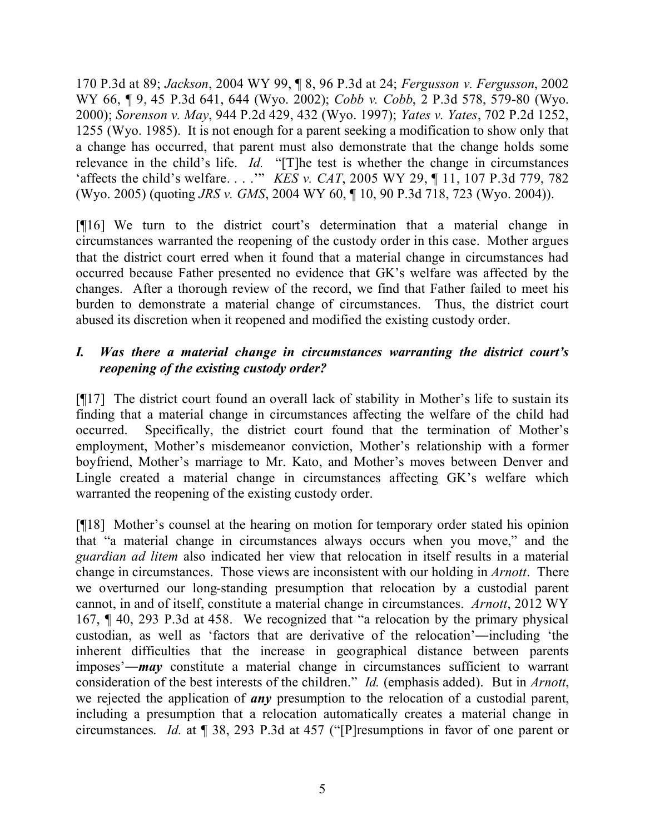170 P.3d at 89; *Jackson*, 2004 WY 99, ¶ 8, 96 P.3d at 24; *Fergusson v. Fergusson*, 2002 WY 66, ¶ 9, 45 P.3d 641, 644 (Wyo. 2002); *Cobb v. Cobb*, 2 P.3d 578, 579-80 (Wyo. 2000); *Sorenson v. May*, 944 P.2d 429, 432 (Wyo. 1997); *Yates v. Yates*, 702 P.2d 1252, 1255 (Wyo. 1985). It is not enough for a parent seeking a modification to show only that a change has occurred, that parent must also demonstrate that the change holds some relevance in the child's life. *Id.* "[T]he test is whether the change in circumstances 'affects the child's welfare. . . .'" *KES v. CAT*, 2005 WY 29, ¶ 11, 107 P.3d 779, 782 (Wyo. 2005) (quoting *JRS v. GMS*, 2004 WY 60, ¶ 10, 90 P.3d 718, 723 (Wyo. 2004)).

[¶16] We turn to the district court's determination that a material change in circumstances warranted the reopening of the custody order in this case. Mother argues that the district court erred when it found that a material change in circumstances had occurred because Father presented no evidence that GK's welfare was affected by the changes. After a thorough review of the record, we find that Father failed to meet his burden to demonstrate a material change of circumstances. Thus, the district court abused its discretion when it reopened and modified the existing custody order.

# *I. Was there a material change in circumstances warranting the district court's reopening of the existing custody order?*

[¶17] The district court found an overall lack of stability in Mother's life to sustain its finding that a material change in circumstances affecting the welfare of the child had occurred. Specifically, the district court found that the termination of Mother's employment, Mother's misdemeanor conviction, Mother's relationship with a former boyfriend, Mother's marriage to Mr. Kato, and Mother's moves between Denver and Lingle created a material change in circumstances affecting GK's welfare which warranted the reopening of the existing custody order.

[¶18] Mother's counsel at the hearing on motion for temporary order stated his opinion that "a material change in circumstances always occurs when you move," and the *guardian ad litem* also indicated her view that relocation in itself results in a material change in circumstances. Those views are inconsistent with our holding in *Arnott*. There we overturned our long-standing presumption that relocation by a custodial parent cannot, in and of itself, constitute a material change in circumstances. *Arnott*, 2012 WY 167, ¶ 40, 293 P.3d at 458. We recognized that "a relocation by the primary physical custodian, as well as 'factors that are derivative of the relocation'―including 'the inherent difficulties that the increase in geographical distance between parents imposes'―*may* constitute a material change in circumstances sufficient to warrant consideration of the best interests of the children." *Id.* (emphasis added). But in *Arnott*, we rejected the application of *any* presumption to the relocation of a custodial parent, including a presumption that a relocation automatically creates a material change in circumstances. *Id.* at ¶ 38, 293 P.3d at 457 ("[P]resumptions in favor of one parent or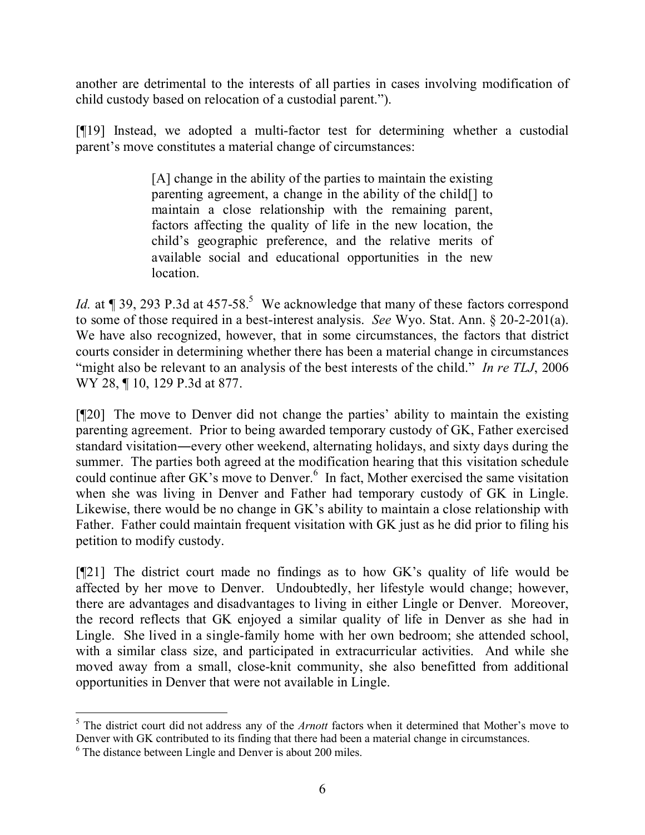another are detrimental to the interests of all parties in cases involving modification of child custody based on relocation of a custodial parent.").

[¶19] Instead, we adopted a multi-factor test for determining whether a custodial parent's move constitutes a material change of circumstances:

> [A] change in the ability of the parties to maintain the existing parenting agreement, a change in the ability of the child[] to maintain a close relationship with the remaining parent, factors affecting the quality of life in the new location, the child's geographic preference, and the relative merits of available social and educational opportunities in the new location.

*Id.* at  $\P$  39, 293 P.3d at 457-58.<sup>5</sup> We acknowledge that many of these factors correspond to some of those required in a best-interest analysis. *See* Wyo. Stat. Ann. § 20-2-201(a). We have also recognized, however, that in some circumstances, the factors that district courts consider in determining whether there has been a material change in circumstances "might also be relevant to an analysis of the best interests of the child." *In re TLJ*, 2006 WY 28, ¶ 10, 129 P.3d at 877.

[¶20] The move to Denver did not change the parties' ability to maintain the existing parenting agreement. Prior to being awarded temporary custody of GK, Father exercised standard visitation―every other weekend, alternating holidays, and sixty days during the summer. The parties both agreed at the modification hearing that this visitation schedule could continue after GK's move to Denver.<sup>6</sup> In fact, Mother exercised the same visitation when she was living in Denver and Father had temporary custody of GK in Lingle. Likewise, there would be no change in GK's ability to maintain a close relationship with Father. Father could maintain frequent visitation with GK just as he did prior to filing his petition to modify custody.

[¶21] The district court made no findings as to how GK's quality of life would be affected by her move to Denver. Undoubtedly, her lifestyle would change; however, there are advantages and disadvantages to living in either Lingle or Denver. Moreover, the record reflects that GK enjoyed a similar quality of life in Denver as she had in Lingle. She lived in a single-family home with her own bedroom; she attended school, with a similar class size, and participated in extracurricular activities. And while she moved away from a small, close-knit community, she also benefitted from additional opportunities in Denver that were not available in Lingle.

 <sup>5</sup> The district court did not address any of the *Arnott* factors when it determined that Mother's move to Denver with GK contributed to its finding that there had been a material change in circumstances.

<sup>6</sup> The distance between Lingle and Denver is about 200 miles.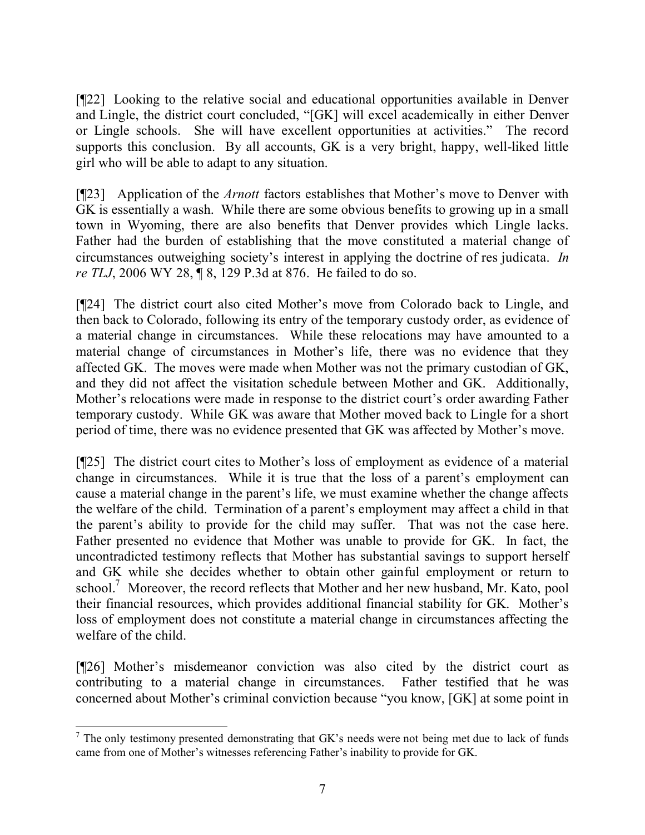[¶22] Looking to the relative social and educational opportunities available in Denver and Lingle, the district court concluded, "[GK] will excel academically in either Denver or Lingle schools. She will have excellent opportunities at activities." The record supports this conclusion. By all accounts, GK is a very bright, happy, well-liked little girl who will be able to adapt to any situation.

[¶23] Application of the *Arnott* factors establishes that Mother's move to Denver with GK is essentially a wash. While there are some obvious benefits to growing up in a small town in Wyoming, there are also benefits that Denver provides which Lingle lacks. Father had the burden of establishing that the move constituted a material change of circumstances outweighing society's interest in applying the doctrine of res judicata. *In re TLJ*, 2006 WY 28, ¶ 8, 129 P.3d at 876. He failed to do so.

[¶24] The district court also cited Mother's move from Colorado back to Lingle, and then back to Colorado, following its entry of the temporary custody order, as evidence of a material change in circumstances. While these relocations may have amounted to a material change of circumstances in Mother's life, there was no evidence that they affected GK. The moves were made when Mother was not the primary custodian of GK, and they did not affect the visitation schedule between Mother and GK. Additionally, Mother's relocations were made in response to the district court's order awarding Father temporary custody. While GK was aware that Mother moved back to Lingle for a short period of time, there was no evidence presented that GK was affected by Mother's move.

[¶25] The district court cites to Mother's loss of employment as evidence of a material change in circumstances. While it is true that the loss of a parent's employment can cause a material change in the parent's life, we must examine whether the change affects the welfare of the child. Termination of a parent's employment may affect a child in that the parent's ability to provide for the child may suffer. That was not the case here. Father presented no evidence that Mother was unable to provide for GK. In fact, the uncontradicted testimony reflects that Mother has substantial savings to support herself and GK while she decides whether to obtain other gainful employment or return to school.<sup>7</sup> Moreover, the record reflects that Mother and her new husband, Mr. Kato, pool their financial resources, which provides additional financial stability for GK. Mother's loss of employment does not constitute a material change in circumstances affecting the welfare of the child.

[¶26] Mother's misdemeanor conviction was also cited by the district court as contributing to a material change in circumstances. Father testified that he was concerned about Mother's criminal conviction because "you know, [GK] at some point in

  $7$  The only testimony presented demonstrating that GK's needs were not being met due to lack of funds came from one of Mother's witnesses referencing Father's inability to provide for GK.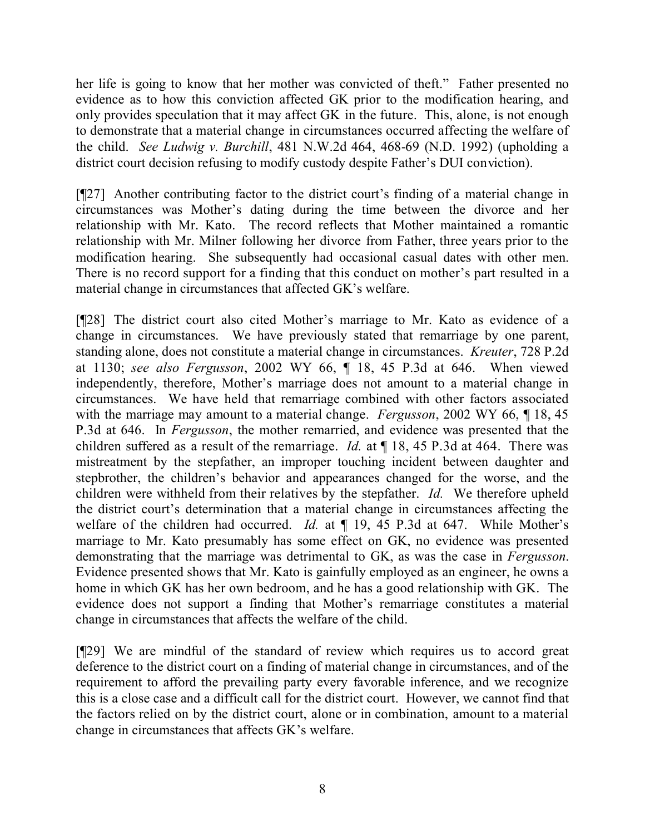her life is going to know that her mother was convicted of theft." Father presented no evidence as to how this conviction affected GK prior to the modification hearing, and only provides speculation that it may affect GK in the future. This, alone, is not enough to demonstrate that a material change in circumstances occurred affecting the welfare of the child. *See Ludwig v. Burchill*, 481 N.W.2d 464, 468-69 (N.D. 1992) (upholding a district court decision refusing to modify custody despite Father's DUI conviction).

[¶27] Another contributing factor to the district court's finding of a material change in circumstances was Mother's dating during the time between the divorce and her relationship with Mr. Kato. The record reflects that Mother maintained a romantic relationship with Mr. Milner following her divorce from Father, three years prior to the modification hearing. She subsequently had occasional casual dates with other men. There is no record support for a finding that this conduct on mother's part resulted in a material change in circumstances that affected GK's welfare.

[¶28] The district court also cited Mother's marriage to Mr. Kato as evidence of a change in circumstances. We have previously stated that remarriage by one parent, standing alone, does not constitute a material change in circumstances. *Kreuter*, 728 P.2d at 1130; *see also Fergusson*, 2002 WY 66, ¶ 18, 45 P.3d at 646. When viewed independently, therefore, Mother's marriage does not amount to a material change in circumstances. We have held that remarriage combined with other factors associated with the marriage may amount to a material change. *Fergusson*, 2002 WY 66, ¶ 18, 45 P.3d at 646. In *Fergusson*, the mother remarried, and evidence was presented that the children suffered as a result of the remarriage. *Id.* at ¶ 18, 45 P.3d at 464. There was mistreatment by the stepfather, an improper touching incident between daughter and stepbrother, the children's behavior and appearances changed for the worse, and the children were withheld from their relatives by the stepfather. *Id.* We therefore upheld the district court's determination that a material change in circumstances affecting the welfare of the children had occurred. *Id.* at  $\P$  19, 45 P.3d at 647. While Mother's marriage to Mr. Kato presumably has some effect on GK, no evidence was presented demonstrating that the marriage was detrimental to GK, as was the case in *Fergusson*. Evidence presented shows that Mr. Kato is gainfully employed as an engineer, he owns a home in which GK has her own bedroom, and he has a good relationship with GK. The evidence does not support a finding that Mother's remarriage constitutes a material change in circumstances that affects the welfare of the child.

[¶29] We are mindful of the standard of review which requires us to accord great deference to the district court on a finding of material change in circumstances, and of the requirement to afford the prevailing party every favorable inference, and we recognize this is a close case and a difficult call for the district court. However, we cannot find that the factors relied on by the district court, alone or in combination, amount to a material change in circumstances that affects GK's welfare.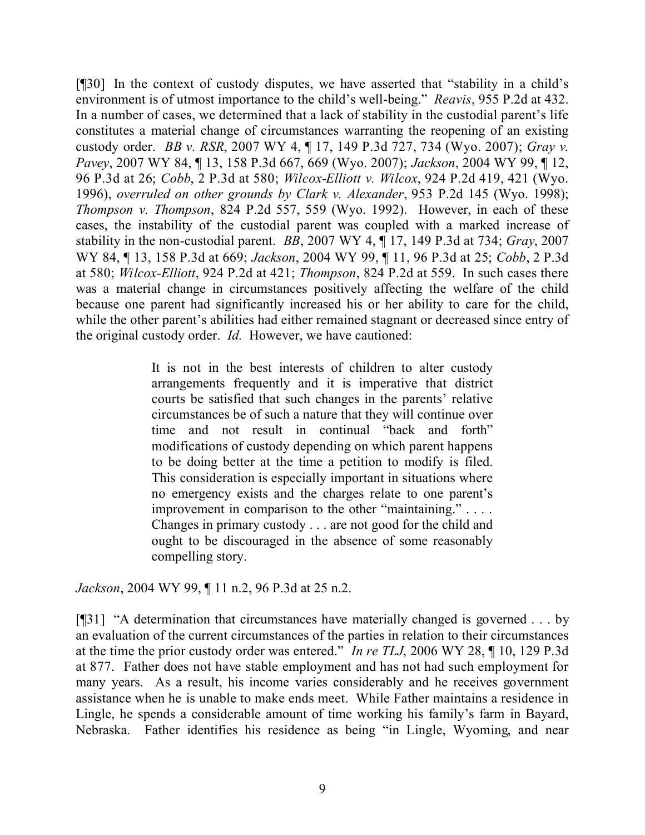[¶30] In the context of custody disputes, we have asserted that "stability in a child's environment is of utmost importance to the child's well-being." *Reavis*, 955 P.2d at 432. In a number of cases, we determined that a lack of stability in the custodial parent's life constitutes a material change of circumstances warranting the reopening of an existing custody order. *BB v. RSR*, 2007 WY 4, ¶ 17, 149 P.3d 727, 734 (Wyo. 2007); *Gray v. Pavey*, 2007 WY 84, ¶ 13, 158 P.3d 667, 669 (Wyo. 2007); *Jackson*, 2004 WY 99, ¶ 12, 96 P.3d at 26; *Cobb*, 2 P.3d at 580; *Wilcox-Elliott v. Wilcox*, 924 P.2d 419, 421 (Wyo. 1996), *overruled on other grounds by Clark v. Alexander*, 953 P.2d 145 (Wyo. 1998); *Thompson v. Thompson*, 824 P.2d 557, 559 (Wyo. 1992). However, in each of these cases, the instability of the custodial parent was coupled with a marked increase of stability in the non-custodial parent. *BB*, 2007 WY 4, ¶ 17, 149 P.3d at 734; *Gray*, 2007 WY 84, ¶ 13, 158 P.3d at 669; *Jackson*, 2004 WY 99, ¶ 11, 96 P.3d at 25; *Cobb*, 2 P.3d at 580; *Wilcox-Elliott*, 924 P.2d at 421; *Thompson*, 824 P.2d at 559. In such cases there was a material change in circumstances positively affecting the welfare of the child because one parent had significantly increased his or her ability to care for the child, while the other parent's abilities had either remained stagnant or decreased since entry of the original custody order. *Id.* However, we have cautioned:

> It is not in the best interests of children to alter custody arrangements frequently and it is imperative that district courts be satisfied that such changes in the parents' relative circumstances be of such a nature that they will continue over time and not result in continual "back and forth" modifications of custody depending on which parent happens to be doing better at the time a petition to modify is filed. This consideration is especially important in situations where no emergency exists and the charges relate to one parent's improvement in comparison to the other "maintaining." . . . . Changes in primary custody . . . are not good for the child and ought to be discouraged in the absence of some reasonably compelling story.

*Jackson*, 2004 WY 99, ¶ 11 n.2, 96 P.3d at 25 n.2.

[¶31] "A determination that circumstances have materially changed is governed . . . by an evaluation of the current circumstances of the parties in relation to their circumstances at the time the prior custody order was entered." *In re TLJ*, 2006 WY 28, ¶ 10, 129 P.3d at 877. Father does not have stable employment and has not had such employment for many years. As a result, his income varies considerably and he receives government assistance when he is unable to make ends meet. While Father maintains a residence in Lingle, he spends a considerable amount of time working his family's farm in Bayard, Nebraska. Father identifies his residence as being "in Lingle, Wyoming, and near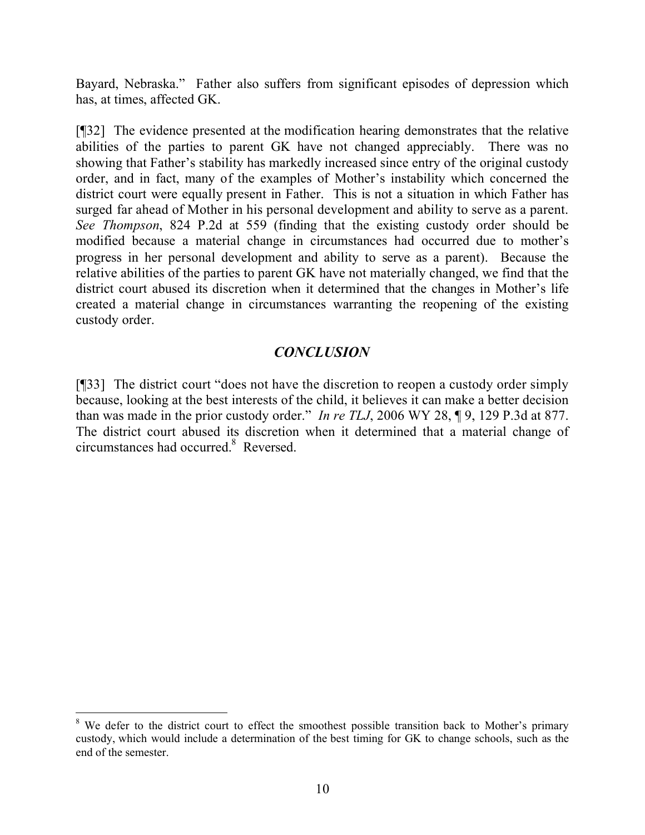Bayard, Nebraska." Father also suffers from significant episodes of depression which has, at times, affected GK.

[¶32] The evidence presented at the modification hearing demonstrates that the relative abilities of the parties to parent GK have not changed appreciably. There was no showing that Father's stability has markedly increased since entry of the original custody order, and in fact, many of the examples of Mother's instability which concerned the district court were equally present in Father. This is not a situation in which Father has surged far ahead of Mother in his personal development and ability to serve as a parent. *See Thompson*, 824 P.2d at 559 (finding that the existing custody order should be modified because a material change in circumstances had occurred due to mother's progress in her personal development and ability to serve as a parent). Because the relative abilities of the parties to parent GK have not materially changed, we find that the district court abused its discretion when it determined that the changes in Mother's life created a material change in circumstances warranting the reopening of the existing custody order.

# *CONCLUSION*

[¶33] The district court "does not have the discretion to reopen a custody order simply because, looking at the best interests of the child, it believes it can make a better decision than was made in the prior custody order." *In re TLJ*, 2006 WY 28, ¶ 9, 129 P.3d at 877. The district court abused its discretion when it determined that a material change of circumstances had occurred. $8$  Reversed.

 <sup>8</sup> We defer to the district court to effect the smoothest possible transition back to Mother's primary custody, which would include a determination of the best timing for GK to change schools, such as the end of the semester.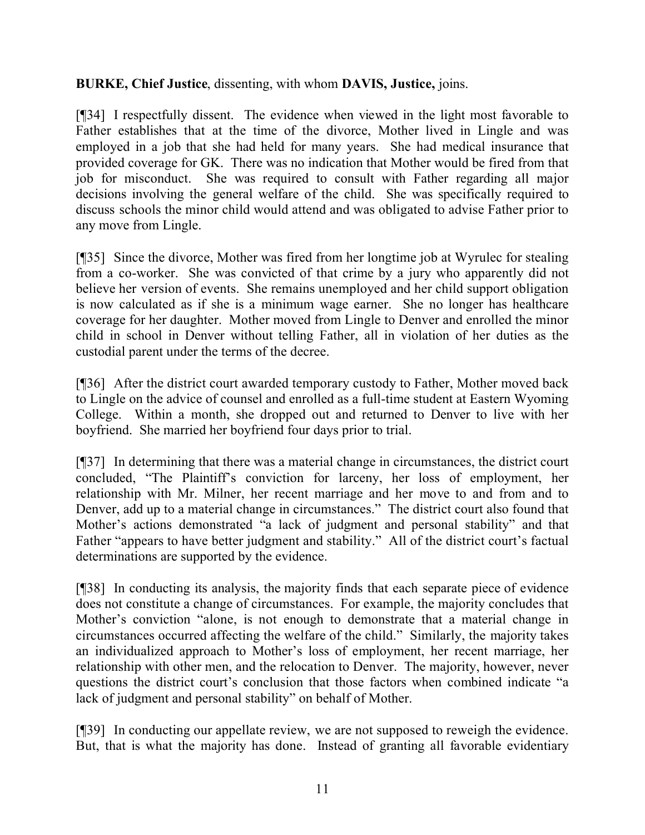## **BURKE, Chief Justice**, dissenting, with whom **DAVIS, Justice,** joins.

[¶34] I respectfully dissent. The evidence when viewed in the light most favorable to Father establishes that at the time of the divorce, Mother lived in Lingle and was employed in a job that she had held for many years. She had medical insurance that provided coverage for GK. There was no indication that Mother would be fired from that job for misconduct. She was required to consult with Father regarding all major decisions involving the general welfare of the child. She was specifically required to discuss schools the minor child would attend and was obligated to advise Father prior to any move from Lingle.

[¶35] Since the divorce, Mother was fired from her longtime job at Wyrulec for stealing from a co-worker. She was convicted of that crime by a jury who apparently did not believe her version of events. She remains unemployed and her child support obligation is now calculated as if she is a minimum wage earner. She no longer has healthcare coverage for her daughter. Mother moved from Lingle to Denver and enrolled the minor child in school in Denver without telling Father, all in violation of her duties as the custodial parent under the terms of the decree.

[¶36] After the district court awarded temporary custody to Father, Mother moved back to Lingle on the advice of counsel and enrolled as a full-time student at Eastern Wyoming College. Within a month, she dropped out and returned to Denver to live with her boyfriend. She married her boyfriend four days prior to trial.

[¶37] In determining that there was a material change in circumstances, the district court concluded, "The Plaintiff's conviction for larceny, her loss of employment, her relationship with Mr. Milner, her recent marriage and her move to and from and to Denver, add up to a material change in circumstances." The district court also found that Mother's actions demonstrated "a lack of judgment and personal stability" and that Father "appears to have better judgment and stability." All of the district court's factual determinations are supported by the evidence.

[¶38] In conducting its analysis, the majority finds that each separate piece of evidence does not constitute a change of circumstances. For example, the majority concludes that Mother's conviction "alone, is not enough to demonstrate that a material change in circumstances occurred affecting the welfare of the child." Similarly, the majority takes an individualized approach to Mother's loss of employment, her recent marriage, her relationship with other men, and the relocation to Denver. The majority, however, never questions the district court's conclusion that those factors when combined indicate "a lack of judgment and personal stability" on behalf of Mother.

[¶39] In conducting our appellate review, we are not supposed to reweigh the evidence. But, that is what the majority has done. Instead of granting all favorable evidentiary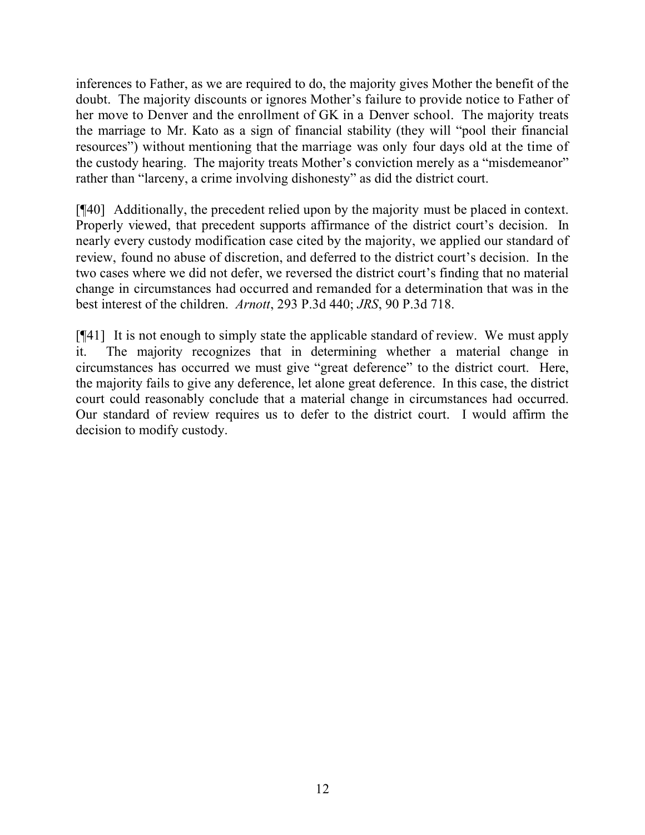inferences to Father, as we are required to do, the majority gives Mother the benefit of the doubt. The majority discounts or ignores Mother's failure to provide notice to Father of her move to Denver and the enrollment of GK in a Denver school. The majority treats the marriage to Mr. Kato as a sign of financial stability (they will "pool their financial resources") without mentioning that the marriage was only four days old at the time of the custody hearing. The majority treats Mother's conviction merely as a "misdemeanor" rather than "larceny, a crime involving dishonesty" as did the district court.

[¶40] Additionally, the precedent relied upon by the majority must be placed in context. Properly viewed, that precedent supports affirmance of the district court's decision. In nearly every custody modification case cited by the majority, we applied our standard of review, found no abuse of discretion, and deferred to the district court's decision. In the two cases where we did not defer, we reversed the district court's finding that no material change in circumstances had occurred and remanded for a determination that was in the best interest of the children. *Arnott*, 293 P.3d 440; *JRS*, 90 P.3d 718.

[¶41] It is not enough to simply state the applicable standard of review. We must apply it. The majority recognizes that in determining whether a material change in circumstances has occurred we must give "great deference" to the district court. Here, the majority fails to give any deference, let alone great deference. In this case, the district court could reasonably conclude that a material change in circumstances had occurred. Our standard of review requires us to defer to the district court. I would affirm the decision to modify custody.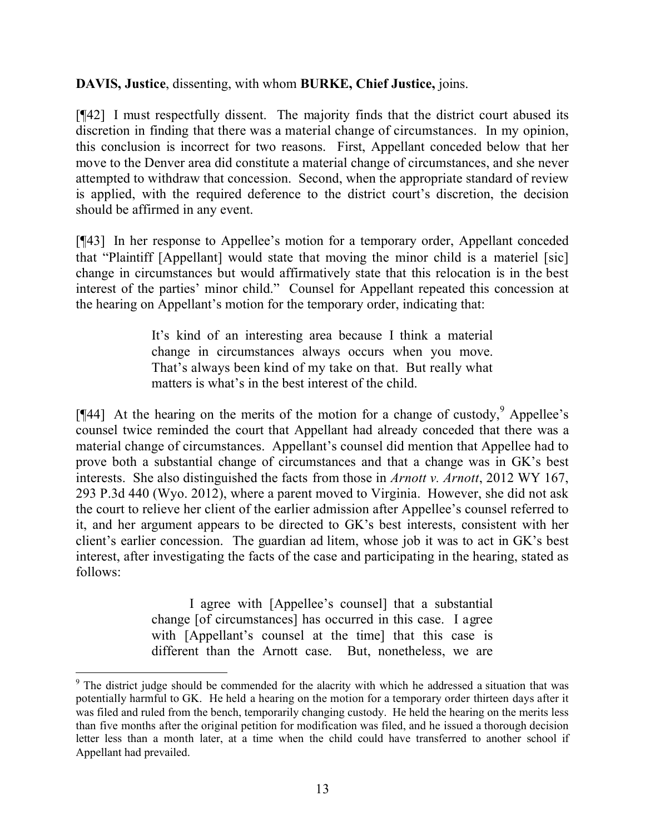**DAVIS, Justice**, dissenting, with whom **BURKE, Chief Justice,** joins.

[¶42] I must respectfully dissent. The majority finds that the district court abused its discretion in finding that there was a material change of circumstances. In my opinion, this conclusion is incorrect for two reasons. First, Appellant conceded below that her move to the Denver area did constitute a material change of circumstances, and she never attempted to withdraw that concession. Second, when the appropriate standard of review is applied, with the required deference to the district court's discretion, the decision should be affirmed in any event.

[¶43] In her response to Appellee's motion for a temporary order, Appellant conceded that "Plaintiff [Appellant] would state that moving the minor child is a materiel [sic] change in circumstances but would affirmatively state that this relocation is in the best interest of the parties' minor child." Counsel for Appellant repeated this concession at the hearing on Appellant's motion for the temporary order, indicating that:

> It's kind of an interesting area because I think a material change in circumstances always occurs when you move. That's always been kind of my take on that. But really what matters is what's in the best interest of the child.

[ $[44]$ ] At the hearing on the merits of the motion for a change of custody,  $9$  Appellee's counsel twice reminded the court that Appellant had already conceded that there was a material change of circumstances. Appellant's counsel did mention that Appellee had to prove both a substantial change of circumstances and that a change was in GK's best interests. She also distinguished the facts from those in *Arnott v. Arnott*, 2012 WY 167, 293 P.3d 440 (Wyo. 2012), where a parent moved to Virginia. However, she did not ask the court to relieve her client of the earlier admission after Appellee's counsel referred to it, and her argument appears to be directed to GK's best interests, consistent with her client's earlier concession. The guardian ad litem, whose job it was to act in GK's best interest, after investigating the facts of the case and participating in the hearing, stated as follows:

> I agree with [Appellee's counsel] that a substantial change [of circumstances] has occurred in this case. I agree with [Appellant's counsel at the time] that this case is different than the Arnott case. But, nonetheless, we are

<sup>&</sup>lt;sup>9</sup> The district judge should be commended for the alacrity with which he addressed a situation that was potentially harmful to GK. He held a hearing on the motion for a temporary order thirteen days after it was filed and ruled from the bench, temporarily changing custody. He held the hearing on the merits less than five months after the original petition for modification was filed, and he issued a thorough decision letter less than a month later, at a time when the child could have transferred to another school if Appellant had prevailed.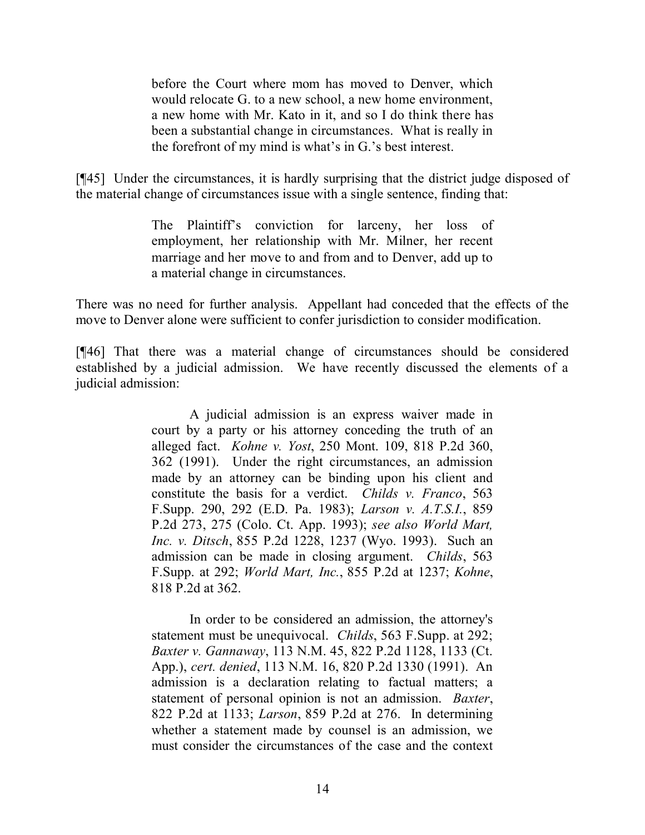before the Court where mom has moved to Denver, which would relocate G. to a new school, a new home environment, a new home with Mr. Kato in it, and so I do think there has been a substantial change in circumstances. What is really in the forefront of my mind is what's in G.'s best interest.

[¶45] Under the circumstances, it is hardly surprising that the district judge disposed of the material change of circumstances issue with a single sentence, finding that:

> The Plaintiff's conviction for larceny, her loss of employment, her relationship with Mr. Milner, her recent marriage and her move to and from and to Denver, add up to a material change in circumstances.

There was no need for further analysis. Appellant had conceded that the effects of the move to Denver alone were sufficient to confer jurisdiction to consider modification.

[¶46] That there was a material change of circumstances should be considered established by a judicial admission. We have recently discussed the elements of a judicial admission:

> A judicial admission is an express waiver made in court by a party or his attorney conceding the truth of an alleged fact. *Kohne v. Yost*, 250 Mont. 109, 818 P.2d 360, 362 (1991). Under the right circumstances, an admission made by an attorney can be binding upon his client and constitute the basis for a verdict. *Childs v. Franco*, 563 F.Supp. 290, 292 (E.D. Pa. 1983); *Larson v. A.T.S.I.*, 859 P.2d 273, 275 (Colo. Ct. App. 1993); *see also World Mart, Inc. v. Ditsch*, 855 P.2d 1228, 1237 (Wyo. 1993). Such an admission can be made in closing argument. *Childs*, 563 F.Supp. at 292; *World Mart, Inc.*, 855 P.2d at 1237; *Kohne*, 818 P.2d at 362.

> In order to be considered an admission, the attorney's statement must be unequivocal. *Childs*, 563 F.Supp. at 292; *Baxter v. Gannaway*, 113 N.M. 45, 822 P.2d 1128, 1133 (Ct. App.), *cert. denied*, 113 N.M. 16, 820 P.2d 1330 (1991). An admission is a declaration relating to factual matters; a statement of personal opinion is not an admission. *Baxter*, 822 P.2d at 1133; *Larson*, 859 P.2d at 276. In determining whether a statement made by counsel is an admission, we must consider the circumstances of the case and the context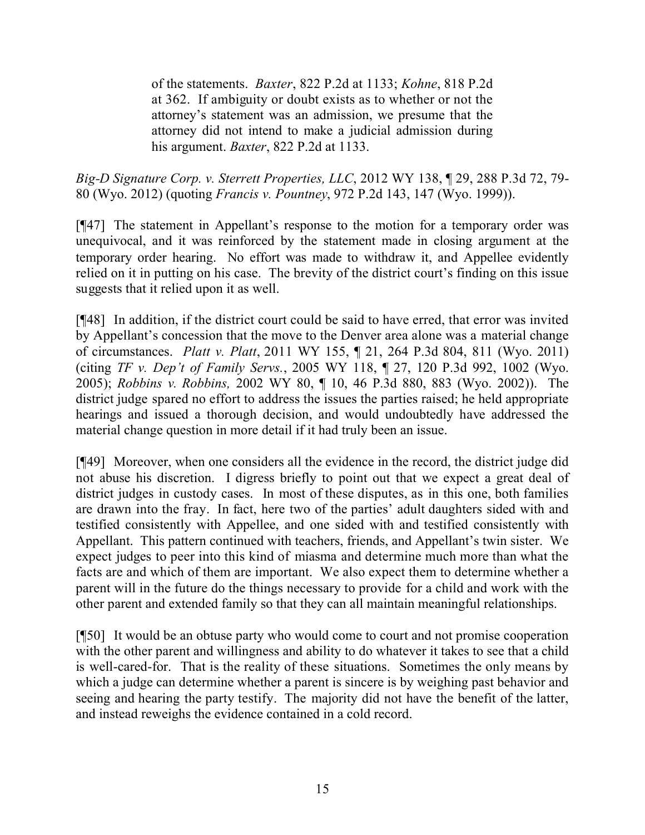of the statements. *Baxter*, 822 P.2d at 1133; *Kohne*, 818 P.2d at 362. If ambiguity or doubt exists as to whether or not the attorney's statement was an admission, we presume that the attorney did not intend to make a judicial admission during his argument. *Baxter*, 822 P.2d at 1133.

*Big-D Signature Corp. v. Sterrett Properties, LLC*, 2012 WY 138, ¶ 29, 288 P.3d 72, 79- 80 (Wyo. 2012) (quoting *Francis v. Pountney*, 972 P.2d 143, 147 (Wyo. 1999)).

[¶47] The statement in Appellant's response to the motion for a temporary order was unequivocal, and it was reinforced by the statement made in closing argument at the temporary order hearing. No effort was made to withdraw it, and Appellee evidently relied on it in putting on his case. The brevity of the district court's finding on this issue suggests that it relied upon it as well.

[¶48] In addition, if the district court could be said to have erred, that error was invited by Appellant's concession that the move to the Denver area alone was a material change of circumstances. *Platt v. Platt*, 2011 WY 155, ¶ 21, 264 P.3d 804, 811 (Wyo. 2011) (citing *TF v. Dep't of Family Servs.*, 2005 WY 118, ¶ 27, 120 P.3d 992, 1002 (Wyo. 2005); *Robbins v. Robbins,* 2002 WY 80, ¶ 10, 46 P.3d 880, 883 (Wyo. 2002)). The district judge spared no effort to address the issues the parties raised; he held appropriate hearings and issued a thorough decision, and would undoubtedly have addressed the material change question in more detail if it had truly been an issue.

[¶49] Moreover, when one considers all the evidence in the record, the district judge did not abuse his discretion. I digress briefly to point out that we expect a great deal of district judges in custody cases. In most of these disputes, as in this one, both families are drawn into the fray. In fact, here two of the parties' adult daughters sided with and testified consistently with Appellee, and one sided with and testified consistently with Appellant. This pattern continued with teachers, friends, and Appellant's twin sister. We expect judges to peer into this kind of miasma and determine much more than what the facts are and which of them are important. We also expect them to determine whether a parent will in the future do the things necessary to provide for a child and work with the other parent and extended family so that they can all maintain meaningful relationships.

[¶50] It would be an obtuse party who would come to court and not promise cooperation with the other parent and willingness and ability to do whatever it takes to see that a child is well-cared-for. That is the reality of these situations. Sometimes the only means by which a judge can determine whether a parent is sincere is by weighing past behavior and seeing and hearing the party testify. The majority did not have the benefit of the latter, and instead reweighs the evidence contained in a cold record.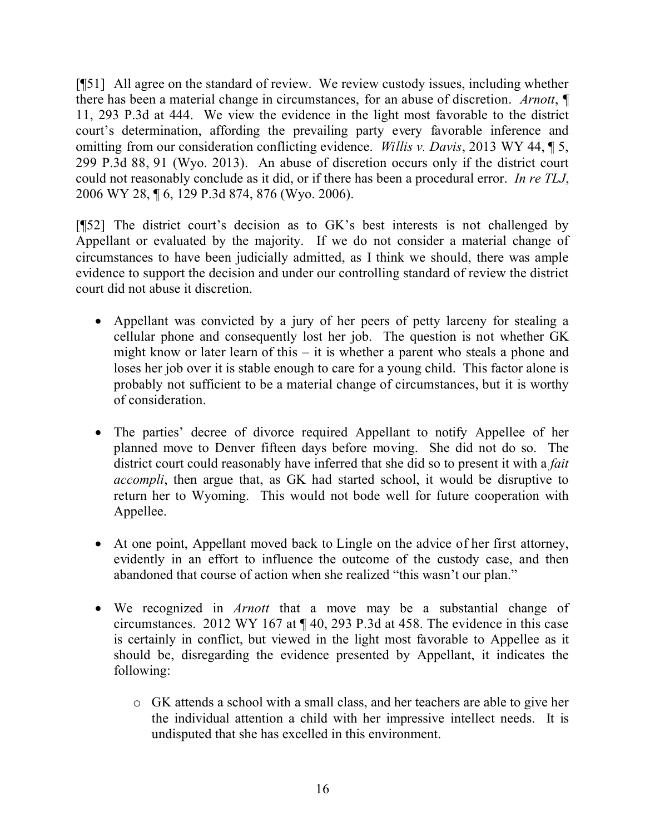[¶51] All agree on the standard of review. We review custody issues, including whether there has been a material change in circumstances, for an abuse of discretion. *Arnott*, ¶ 11, 293 P.3d at 444. We view the evidence in the light most favorable to the district court's determination, affording the prevailing party every favorable inference and omitting from our consideration conflicting evidence. *Willis v. Davis*, 2013 WY 44, ¶ 5, 299 P.3d 88, 91 (Wyo. 2013). An abuse of discretion occurs only if the district court could not reasonably conclude as it did, or if there has been a procedural error. *In re TLJ*, 2006 WY 28, ¶ 6, 129 P.3d 874, 876 (Wyo. 2006).

[¶52] The district court's decision as to GK's best interests is not challenged by Appellant or evaluated by the majority. If we do not consider a material change of circumstances to have been judicially admitted, as I think we should, there was ample evidence to support the decision and under our controlling standard of review the district court did not abuse it discretion.

- Appellant was convicted by a jury of her peers of petty larceny for stealing a cellular phone and consequently lost her job. The question is not whether GK might know or later learn of this – it is whether a parent who steals a phone and loses her job over it is stable enough to care for a young child. This factor alone is probably not sufficient to be a material change of circumstances, but it is worthy of consideration.
- The parties' decree of divorce required Appellant to notify Appellee of her planned move to Denver fifteen days before moving. She did not do so. The district court could reasonably have inferred that she did so to present it with a *fait accompli*, then argue that, as GK had started school, it would be disruptive to return her to Wyoming. This would not bode well for future cooperation with Appellee.
- At one point, Appellant moved back to Lingle on the advice of her first attorney, evidently in an effort to influence the outcome of the custody case, and then abandoned that course of action when she realized "this wasn't our plan."
- We recognized in *Arnott* that a move may be a substantial change of circumstances. 2012 WY 167 at ¶ 40, 293 P.3d at 458. The evidence in this case is certainly in conflict, but viewed in the light most favorable to Appellee as it should be, disregarding the evidence presented by Appellant, it indicates the following:
	- o GK attends a school with a small class, and her teachers are able to give her the individual attention a child with her impressive intellect needs. It is undisputed that she has excelled in this environment.